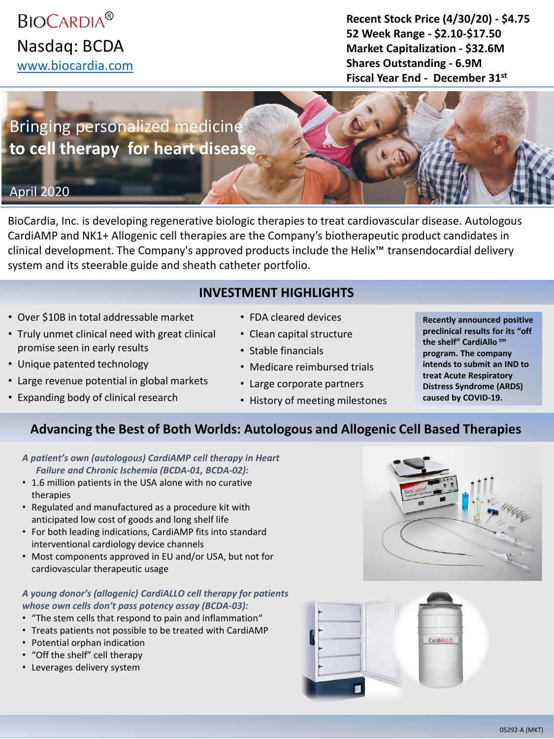**BIOCARDIA<sup>®</sup>** Nasdaq: BCDA [www.biocardia.com](http://www.biocardia.com/)

**Recent Stock Price (4/30/20) - \$4.75 52 Week Range - \$2.10-\$17.50 Market Capitalization - \$32.6M Shares Outstanding - 6.9M Fiscal Year End - December 31st**

# Bringing personalized medicine **to cell therapy for heart disease**

## April 2020

BioCardia, Inc. is developing regenerative biologic therapies to treat cardiovascular disease. Autologous CardiAMP and NK1+ Allogenic cell therapies are the Company's biotherapeutic product candidates in clinical development. The Company's approved products include the Helix™ transendocardial delivery system and its steerable guide and sheath catheter portfolio.

## **INVESTMENT HIGHLIGHTS**

- Over \$10B in total addressable market
- Truly unmet clinical need with great clinical promise seen in early results
- Unique patented technology
- Large revenue potential in global markets
- Expanding body of clinical research
- FDA cleared devices
- Clean capital structure
- Stable financials
- Medicare reimbursed trials
- Large corporate partners
- History of meeting milestones
- **Recently announced positive preclinical results for its "off the shelf" CardiAllo tm program. The company intends to submit an IND to treat Acute Respiratory Distress Syndrome (ARDS) caused by COVID-19.**

## **Advancing the Best of Both Worlds: Autologous and Allogenic Cell Based Therapies**

- *A patient's own (autologous) CardiAMP cell therapy in Heart Failure and Chronic Ischemia (BCDA-01, BCDA-02):*
- 1.6 million patients in the USA alone with no curative therapies
- Regulated and manufactured as a procedure kit with anticipated low cost of goods and long shelf life
- For both leading indications, CardiAMP fits into standard interventional cardiology device channels
- Most components approved in EU and/or USA, but not for cardiovascular therapeutic usage

#### *A young donor's (allogenic) CardiALLO cell therapy for patients whose own cells don't pass potency assay (BCDA-03):*

- "The stem cells that respond to pain and inflammation"
- Treats patients not possible to be treated with CardiAMP
- Potential orphan indication
- "Off the shelf" cell therapy
- Leverages delivery system